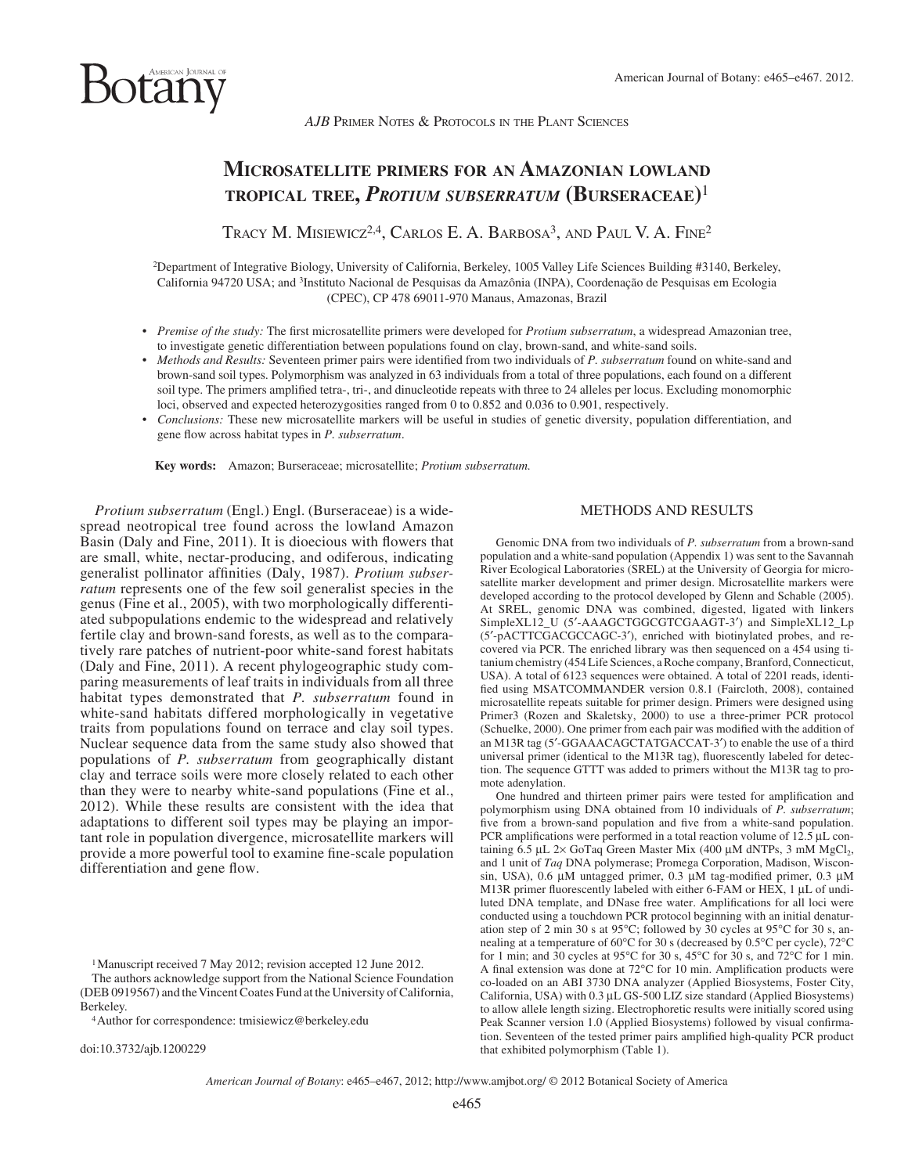*AJB* PRIMER NOTES & PROTOCOLS IN THE PLANT SCIENCES

## **MICROSATELLITE PRIMERS FOR AN AMAZONIAN LOWLAND TROPICAL TREE,** *PROTIUM SUBSERRATUM* **(BURSERACEAE)** <sup>1</sup>

TRACY M. MISIEWICZ<sup>2,4</sup>, CARLOS E. A. BARBOSA<sup>3</sup>, AND PAUL V. A. FINE<sup>2</sup>

2 Department of Integrative Biology, University of California, Berkeley, 1005 Valley Life Sciences Building #3140, Berkeley, California 94720 USA; and 3 Instituto Nacional de Pesquisas da Amazônia (INPA), Coordenação de Pesquisas em Ecologia (CPEC), CP 478 69011-970 Manaus, Amazonas, Brazil

- *Premise of the study:* The first microsatellite primers were developed for *Protium subserratum*, a widespread Amazonian tree, to investigate genetic differentiation between populations found on clay, brown-sand, and white-sand soils.
- *Methods and Results:* Seventeen primer pairs were identified from two individuals of *P. subserratum* found on white-sand and brown-sand soil types. Polymorphism was analyzed in 63 individuals from a total of three populations, each found on a different soil type. The primers amplified tetra-, tri-, and dinucleotide repeats with three to 24 alleles per locus. Excluding monomorphic loci, observed and expected heterozygosities ranged from 0 to 0.852 and 0.036 to 0.901, respectively.
- *Conclusions:* These new microsatellite markers will be useful in studies of genetic diversity, population differentiation, and gene flow across habitat types in *P. subserratum*.

 **Key words:** Amazon; Burseraceae; microsatellite; *Protium subserratum.*

*Protium subserratum* (Engl.) Engl. (Burseraceae) is a widespread neotropical tree found across the lowland Amazon Basin (Daly and Fine, 2011). It is dioecious with flowers that are small, white, nectar-producing, and odiferous, indicating generalist pollinator affinities (Daly, 1987). *Protium subserratum* represents one of the few soil generalist species in the genus ( Fine et al., 2005 ), with two morphologically differentiated subpopulations endemic to the widespread and relatively fertile clay and brown-sand forests, as well as to the comparatively rare patches of nutrient-poor white-sand forest habitats (Daly and Fine, 2011). A recent phylogeographic study comparing measurements of leaf traits in individuals from all three habitat types demonstrated that *P. subserratum* found in white-sand habitats differed morphologically in vegetative traits from populations found on terrace and clay soil types. Nuclear sequence data from the same study also showed that populations of *P. subserratum* from geographically distant clay and terrace soils were more closely related to each other than they were to nearby white-sand populations (Fine et al., 2012). While these results are consistent with the idea that adaptations to different soil types may be playing an important role in population divergence, microsatellite markers will provide a more powerful tool to examine fine-scale population differentiation and gene flow.

1 Manuscript received 7 May 2012; revision accepted 12 June 2012.

 The authors acknowledge support from the National Science Foundation (DEB 0919567) and the Vincent Coates Fund at the University of California,

<sup>4</sup> Author for correspondence: tmisiewicz@berkeley.edu

doi:10.3732/ajb.1200229

## METHODS AND RESULTS

 Genomic DNA from two individuals of *P. subserratum* from a brown-sand population and a white-sand population (Appendix 1) was sent to the Savannah River Ecological Laboratories (SREL) at the University of Georgia for microsatellite marker development and primer design. Microsatellite markers were developed according to the protocol developed by Glenn and Schable (2005) . At SREL, genomic DNA was combined, digested, ligated with linkers SimpleXL12\_U (5'-AAAGCTGGCGTCGAAGT-3') and SimpleXL12\_Lp (5 ′ -pACTTCGACGCCAGC-3 ′ ), enriched with biotinylated probes, and recovered via PCR. The enriched library was then sequenced on a 454 using titanium chemistry (454 Life Sciences, a Roche company, Branford, Connecticut, USA). A total of 6123 sequences were obtained. A total of 2201 reads, identified using MSATCOMMANDER version 0.8.1 (Faircloth, 2008), contained microsatellite repeats suitable for primer design. Primers were designed using Primer3 (Rozen and Skaletsky, 2000) to use a three-primer PCR protocol (Schuelke, 2000). One primer from each pair was modified with the addition of an M13R tag (5'-GGAAACAGCTATGACCAT-3') to enable the use of a third universal primer (identical to the M13R tag), fluorescently labeled for detection. The sequence GTTT was added to primers without the M13R tag to promote adenylation.

One hundred and thirteen primer pairs were tested for amplification and polymorphism using DNA obtained from 10 individuals of *P. subserratum*; five from a brown-sand population and five from a white-sand population. PCR amplifications were performed in a total reaction volume of  $12.5 \mu L$  containing 6.5 μL 2× GoTaq Green Master Mix (400 μM dNTPs, 3 mM MgCl<sub>2</sub>, and 1 unit of *Taq* DNA polymerase; Promega Corporation, Madison, Wisconsin, USA),  $0.6 \mu M$  untagged primer,  $0.3 \mu M$  tag-modified primer,  $0.3 \mu M$ M13R primer fluorescently labeled with either 6-FAM or HEX,  $1 \mu L$  of undiluted DNA template, and DNase free water. Amplifications for all loci were conducted using a touchdown PCR protocol beginning with an initial denaturation step of 2 min 30 s at 95 $\degree$ C; followed by 30 cycles at 95 $\degree$ C for 30 s, annealing at a temperature of 60 $\rm ^{o}C$  for 30 s (decreased by 0.5 $\rm ^{o}C$  per cycle), 72 $\rm ^{o}C$ for 1 min; and 30 cycles at 95 $^{\circ}$ C for 30 s, 45 $^{\circ}$ C for 30 s, and 72 $^{\circ}$ C for 1 min. A final extension was done at  $72^{\circ}$ C for 10 min. Amplification products were co-loaded on an ABI 3730 DNA analyzer (Applied Biosystems, Foster City, California, USA) with 0.3 μL GS-500 LIZ size standard (Applied Biosystems) to allow allele length sizing. Electrophoretic results were initially scored using Peak Scanner version 1.0 (Applied Biosystems) followed by visual confirmation. Seventeen of the tested primer pairs amplified high-quality PCR product that exhibited polymorphism (Table 1).

*American Journal of Botany*: e465–e467, 2012; http://www.amjbot.org/ © 2012 Botanical Society of America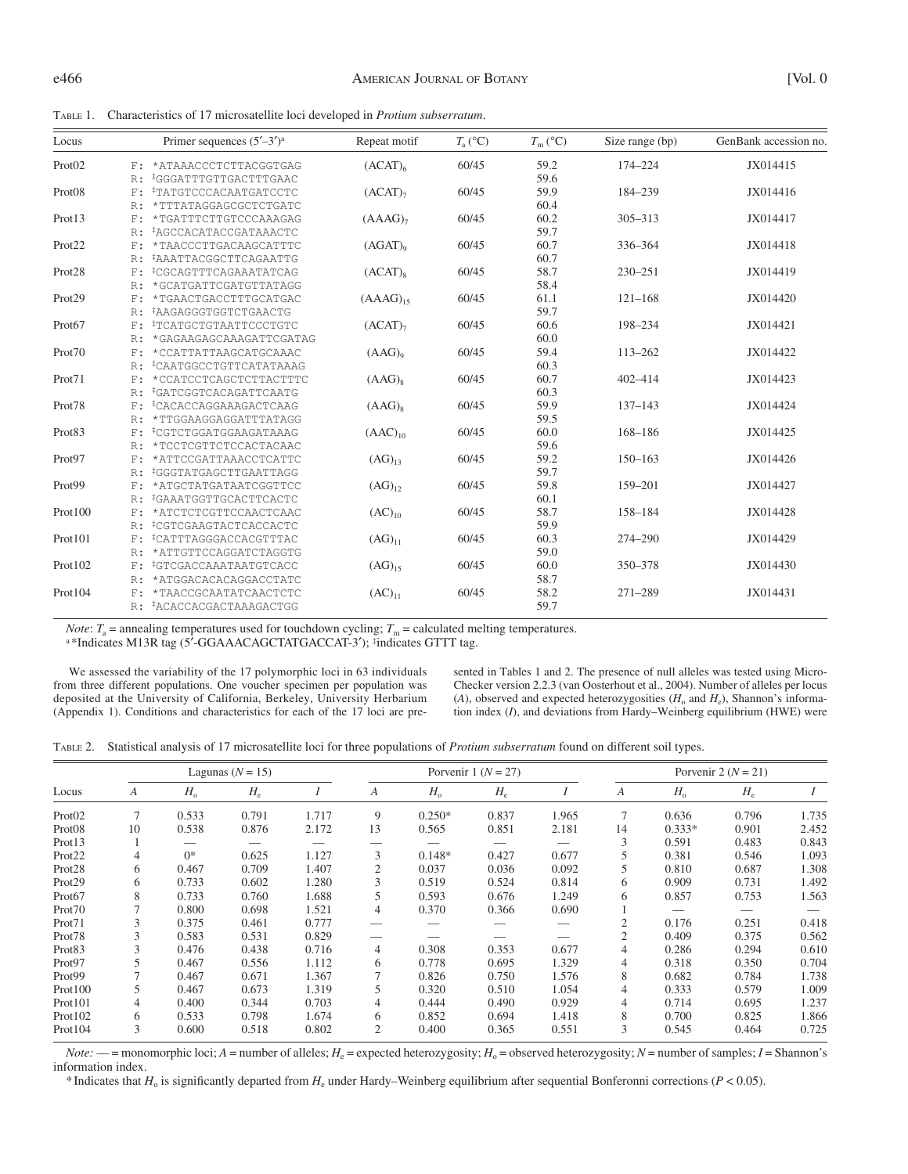TABLE 1. Characteristics of 17 microsatellite loci developed in *Protium subserratum* .

| Locus              |    | Primer sequences $(5'–3')^a$      | Repeat motif        | $T_{\rm a}$ (°C) | $T_{\rm m}$ (°C) | Size range (bp) | GenBank accession no. |
|--------------------|----|-----------------------------------|---------------------|------------------|------------------|-----------------|-----------------------|
| Prot02             |    | F: *ATAAACCCTCTTACGGTGAG          | (ACAT) <sub>6</sub> | 60/45            | 59.2             | 174-224         | JX014415              |
|                    | R: | *GGGATTTGTTGACTTTGAAC             |                     |                  | 59.6             |                 |                       |
| Prot <sub>08</sub> | F: | *TATGTCCCACAATGATCCTC             | $(ACAT)_{7}$        | 60/45            | 59.9             | 184-239         | JX014416              |
|                    | R: | *TTTATAGGAGCGCTCTGATC             |                     |                  | 60.4             |                 |                       |
| Prot13             | F: | *TGATTTCTTGTCCCAAAGAG             | (AAAG) <sub>7</sub> | 60/45            | 60.2             | $305 - 313$     | JX014417              |
|                    | R: | *AGCCACATACCGATAAACTC             |                     |                  | 59.7             |                 |                       |
| Prot22             | F: | *TAACCCTTGACAAGCATTTC             | $(AGAT)_{0}$        | 60/45            | 60.7             | 336-364         | JX014418              |
|                    | R: | *AAATTACGGCTTCAGAATTG             |                     |                  | 60.7             |                 |                       |
| Prot <sub>28</sub> | F: | *CGCAGTTTCAGAAATATCAG             | $(ACAT)_{8}$        | 60/45            | 58.7             | $230 - 251$     | JX014419              |
|                    | R: | *GCATGATTCGATGTTATAGG             |                     |                  | 58.4             |                 |                       |
| Prot29             | F: | *TGAACTGACCTTTGCATGAC             | $(AAAG)_{15}$       | 60/45            | 61.1             | $121 - 168$     | JX014420              |
|                    | R: | *AAGAGGGTGGTCTGAACTG              |                     |                  | 59.7             |                 |                       |
| Prot67             | F: | *TCATGCTGTAATTCCCTGTC             | $(ACAT)_{7}$        | 60/45            | 60.6             | 198-234         | JX014421              |
|                    | R: | *GAGAAGAGCAAAGATTCGATAG           |                     |                  | 60.0             |                 |                       |
| Prot70             | F: | *CCATTATTAAGCATGCAAAC             | $(AAG)_{9}$         | 60/45            | 59.4             | 113-262         | JX014422              |
|                    | R: | *CAATGGCCTGTTCATATAAAG            |                     |                  | 60.3             |                 |                       |
| Prot71             | F: | *CCATCCTCAGCTCTTACTTTC            | $(AAG)_{8}$         | 60/45            | 60.7             | 402-414         | JX014423              |
|                    | R: | <sup>‡</sup> GATCGGTCACAGATTCAATG |                     |                  | 60.3             |                 |                       |
| Prot78             | F: | <sup>‡</sup> CACACCAGGAAAGACTCAAG | $(AAG)_8$           | 60/45            | 59.9             | $137 - 143$     | JX014424              |
|                    | R: | *TTGGAAGGAGGATTTATAGG             |                     |                  | 59.5             |                 |                       |
| Prot83             | F: | <sup>‡</sup> CGTCTGGATGGAAGATAAAG | $(AAC)_{10}$        | 60/45            | 60.0             | 168-186         | JX014425              |
|                    | R: | *TCCTCGTTCTCCACTACAAC             |                     |                  | 59.6             |                 |                       |
| Prot97             | F: | *ATTCCGATTAAACCTCATTC             | $(AG)_{13}$         | 60/45            | 59.2             | $150 - 163$     | JX014426              |
|                    | R: | <i>EGGTATGAGCTTGAATTAGG</i>       |                     |                  | 59.7             |                 |                       |
| Prot99             | F: | *ATGCTATGATAATCGGTTCC             | $(AG)_{12}$         | 60/45            | 59.8             | 159-201         | JX014427              |
|                    | R: | <i>iGAAATGGTTGCACTTCACTC</i>      |                     |                  | 60.1             |                 |                       |
| Prot100            | F: | *ATCTCTCGTTCCAACTCAAC             | $(AC)_{10}$         | 60/45            | 58.7             | 158-184         | JX014428              |
|                    | R: | <sup>‡</sup> CGTCGAAGTACTCACCACTC |                     |                  | 59.9             |                 |                       |
| Prot101            | F: | <i>CATTTAGGGACCACGTTTAC</i>       | $(AG)_{11}$         | 60/45            | 60.3             | 274-290         | JX014429              |
|                    | R: | *ATTGTTCCAGGATCTAGGTG             |                     |                  | 59.0             |                 |                       |
| Prot102            | F: | <i>iGTCGACCAAATAATGTCACC</i>      | $(AG)_{15}$         | 60/45            | 60.0             | 350-378         | JX014430              |
|                    | R: | *ATGGACACACAGGACCTATC             |                     |                  | 58.7             |                 |                       |
| Prot104            | F: | *TAACCGCAATATCAACTCTC             | $(AC)_{11}$         | 60/45            | 58.2             | $271 - 289$     | JX014431              |
|                    |    | R: #ACACCACGACTAAAGACTGG          |                     |                  | 59.7             |                 |                       |

*Note*:  $T_a$  = annealing temperatures used for touchdown cycling;  $T_m$  = calculated melting temperatures.

<sup>a</sup>\*Indicates M13R tag (5'-GGAAACAGCTATGACCAT-3'); <sup>#</sup>indicates GTTT tag.

 We assessed the variability of the 17 polymorphic loci in 63 individuals from three different populations. One voucher specimen per population was deposited at the University of California, Berkeley, University Herbarium (Appendix 1). Conditions and characteristics for each of the 17 loci are pre-

sented in Tables 1 and 2. The presence of null alleles was tested using Micro-Checker version 2.2.3 ( van Oosterhout et al., 2004 ). Number of alleles per locus (A), observed and expected heterozygosities ( $H_0$  and  $H_e$ ), Shannon's information index (*I*), and deviations from Hardy–Weinberg equilibrium (HWE) were

|  | TABLE 2. Statistical analysis of 17 microsatellite loci for three populations of Protium subserratum found on different soil types. |  |
|--|-------------------------------------------------------------------------------------------------------------------------------------|--|
|  |                                                                                                                                     |  |

|                    | Lagunas ( $N = 15$ ) |             |       | Porvenir $1 (N = 27)$ |    |              | Porvenir 2 ( $N = 21$ )       |                          |                |             |             |       |
|--------------------|----------------------|-------------|-------|-----------------------|----|--------------|-------------------------------|--------------------------|----------------|-------------|-------------|-------|
| Locus              | A                    | $H_{\rm o}$ | $H_e$ |                       | А  | $H_{\alpha}$ | $H_{\scriptscriptstyle\rm e}$ |                          | A              | $H_{\rm o}$ | $H_{\rm e}$ |       |
| Prot02             |                      | 0.533       | 0.791 | 1.717                 | 9  | $0.250*$     | 0.837                         | 1.965                    | 7              | 0.636       | 0.796       | 1.735 |
| Prot <sub>08</sub> | 10                   | 0.538       | 0.876 | 2.172                 | 13 | 0.565        | 0.851                         | 2.181                    | 14             | $0.333*$    | 0.901       | 2.452 |
| Prot <sub>13</sub> |                      |             |       |                       |    |              |                               | $\overline{\phantom{0}}$ | 3              | 0.591       | 0.483       | 0.843 |
| Prot <sub>22</sub> | 4                    | $0*$        | 0.625 | 1.127                 | 3  | $0.148*$     | 0.427                         | 0.677                    |                | 0.381       | 0.546       | 1.093 |
| Prot <sub>28</sub> | 6                    | 0.467       | 0.709 | 1.407                 |    | 0.037        | 0.036                         | 0.092                    |                | 0.810       | 0.687       | 1.308 |
| Prot <sub>29</sub> | 6                    | 0.733       | 0.602 | 1.280                 | 3  | 0.519        | 0.524                         | 0.814                    | 6              | 0.909       | 0.731       | 1.492 |
| Prot67             | 8                    | 0.733       | 0.760 | 1.688                 | 5  | 0.593        | 0.676                         | 1.249                    | 6              | 0.857       | 0.753       | 1.563 |
| Prot <sub>70</sub> |                      | 0.800       | 0.698 | 1.521                 | 4  | 0.370        | 0.366                         | 0.690                    |                |             |             |       |
| Prot71             |                      | 0.375       | 0.461 | 0.777                 |    |              |                               |                          |                | 0.176       | 0.251       | 0.418 |
| Prot <sub>78</sub> | 3                    | 0.583       | 0.531 | 0.829                 |    |              |                               |                          | $\overline{2}$ | 0.409       | 0.375       | 0.562 |
| Prot83             |                      | 0.476       | 0.438 | 0.716                 | 4  | 0.308        | 0.353                         | 0.677                    | 4              | 0.286       | 0.294       | 0.610 |
| Prot97             |                      | 0.467       | 0.556 | 1.112                 | 6  | 0.778        | 0.695                         | 1.329                    | 4              | 0.318       | 0.350       | 0.704 |
| Prot <sub>99</sub> |                      | 0.467       | 0.671 | 1.367                 |    | 0.826        | 0.750                         | 1.576                    | 8              | 0.682       | 0.784       | 1.738 |
| Prot100            |                      | 0.467       | 0.673 | 1.319                 | 5  | 0.320        | 0.510                         | 1.054                    | 4              | 0.333       | 0.579       | 1.009 |
| Prot101            | 4                    | 0.400       | 0.344 | 0.703                 | 4  | 0.444        | 0.490                         | 0.929                    | 4              | 0.714       | 0.695       | 1.237 |
| Prot102            | 6                    | 0.533       | 0.798 | 1.674                 | 6  | 0.852        | 0.694                         | 1.418                    | 8              | 0.700       | 0.825       | 1.866 |
| Prot104            | 3                    | 0.600       | 0.518 | 0.802                 | 2  | 0.400        | 0.365                         | 0.551                    | 3              | 0.545       | 0.464       | 0.725 |

*Note:*  $\frac{A}{A}$  = monomorphic loci; *A* = number of alleles; *H*<sub>e</sub> = expected heterozygosity; *H*<sub>o</sub> = observed heterozygosity; *N* = number of samples; *I* = Shannon's information index.

\* Indicates that  $H_0$  is significantly departed from  $H_e$  under Hardy–Weinberg equilibrium after sequential Bonferonni corrections ( $P < 0.05$ ).